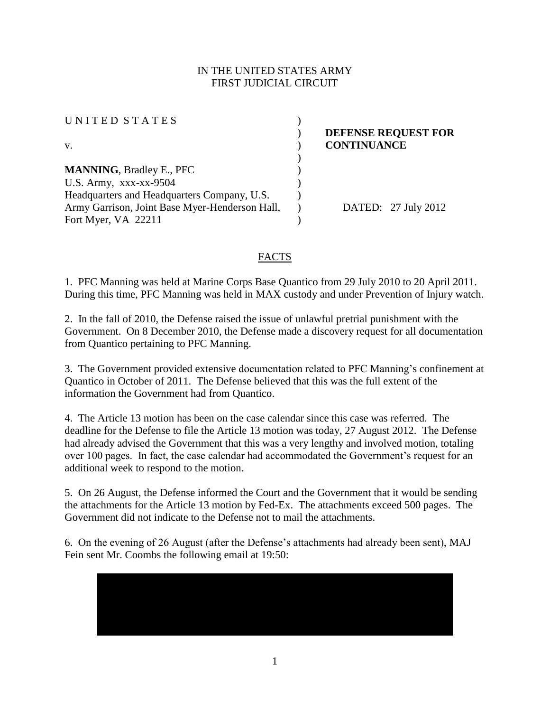## IN THE UNITED STATES ARMY **FIRST JUDICIAL CIRCUIT**

| UNITED STATES                                  |                |
|------------------------------------------------|----------------|
|                                                | <b>DEFENSE</b> |
| V.                                             | <b>CONTINU</b> |
|                                                |                |
| <b>MANNING, Bradley E., PFC</b>                |                |
| U.S. Army, $xxxx-xx-9504$                      |                |
| Headquarters and Headquarters Company, U.S.    |                |
| Army Garrison, Joint Base Myer-Henderson Hall, | ΈL             |
| Fort Myer, VA 22211                            |                |

**REQUEST FOR ANCE** 

 $27$  July 2012

## **FACTS**

1. PFC Manning was held at Marine Corps Base Quantico from 29 July 2010 to 20 April 2011. During this time, PFC Manning was held in MAX custody and under Prevention of Injury watch.

2. In the fall of 2010, the Defense raised the issue of unlawful pretrial punishment with the Government. On 8 December 2010, the Defense made a discovery request for all documentation from Quantico pertaining to PFC Manning.

3. The Government provided extensive documentation related to PFC Manning's confinement at Quantico in October of 2011. The Defense believed that this was the full extent of the information the Government had from Quantico.

4. The Article 13 motion has been on the case calendar since this case was referred. The deadline for the Defense to file the Article 13 motion was today, 27 August 2012. The Defense had already advised the Government that this was a very lengthy and involved motion, totaling over 100 pages. In fact, the case calendar had accommodated the Government's request for an additional week to respond to the motion.

5. On 26 August, the Defense informed the Court and the Government that it would be sending the attachments for the Article 13 motion by Fed-Ex. The attachments exceed 500 pages. The Government did not indicate to the Defense not to mail the attachments.

6. On the evening of 26 August (after the Defense's attachments had already been sent), MAJ Fein sent Mr. Coombs the following email at 19:50: